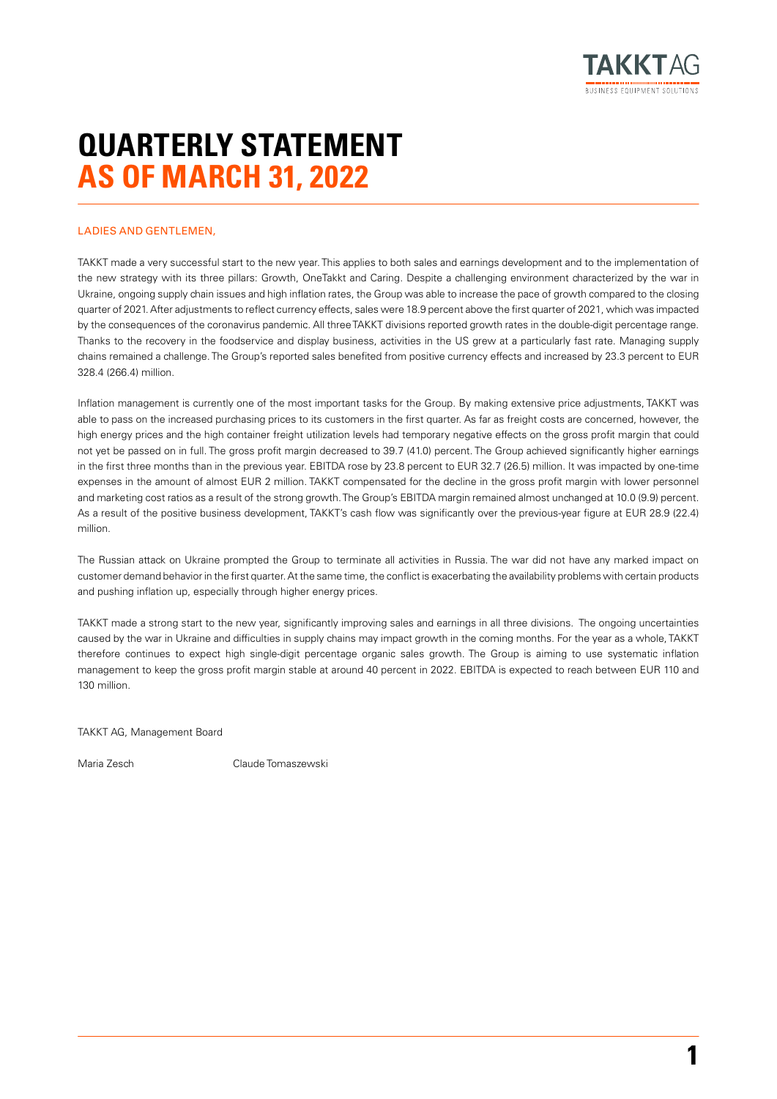

# **QUARTERLY STATEMENT AS OF MARCH 31, 2022**

#### LADIES AND GENTLEMEN

TAKKT made a very successful start to the new year. This applies to both sales and earnings development and to the implementation of the new strategy with its three pillars: Growth, OneTakkt and Caring. Despite a challenging environment characterized by the war in Ukraine, ongoing supply chain issues and high inflation rates, the Group was able to increase the pace of growth compared to the closing quarter of 2021. After adjustments to reflect currency effects, sales were 18.9 percent above the first quarter of 2021, which was impacted by the consequences of the coronavirus pandemic. All three TAKKT divisions reported growth rates in the double-digit percentage range. Thanks to the recovery in the foodservice and display business, activities in the US grew at a particularly fast rate. Managing supply chains remained a challenge. The Group's reported sales benefited from positive currency effects and increased by 23.3 percent to EUR 328.4 (266.4) million.

Inflation management is currently one of the most important tasks for the Group. By making extensive price adjustments, TAKKT was able to pass on the increased purchasing prices to its customers in the first quarter. As far as freight costs are concerned, however, the high energy prices and the high container freight utilization levels had temporary negative effects on the gross profit margin that could not yet be passed on in full. The gross profit margin decreased to 39.7 (41.0) percent. The Group achieved significantly higher earnings in the first three months than in the previous year. EBITDA rose by 23.8 percent to EUR 32.7 (26.5) million. It was impacted by one-time expenses in the amount of almost EUR 2 million. TAKKT compensated for the decline in the gross profit margin with lower personnel and marketing cost ratios as a result of the strong growth. The Group's EBITDA margin remained almost unchanged at 10.0 (9.9) percent. As a result of the positive business development, TAKKT's cash flow was significantly over the previous-year figure at EUR 28.9 (22.4) million.

The Russian attack on Ukraine prompted the Group to terminate all activities in Russia. The war did not have any marked impact on customer demand behavior in the first quarter. At the same time, the conflict is exacerbating the availability problems with certain products and pushing inflation up, especially through higher energy prices.

TAKKT made a strong start to the new year, significantly improving sales and earnings in all three divisions. The ongoing uncertainties caused by the war in Ukraine and difficulties in supply chains may impact growth in the coming months. For the year as a whole, TAKKT therefore continues to expect high single-digit percentage organic sales growth. The Group is aiming to use systematic inflation management to keep the gross profit margin stable at around 40 percent in 2022. EBITDA is expected to reach between EUR 110 and 130 million.

TAKKT AG, Management Board

Maria Zesch Claude Tomaszewski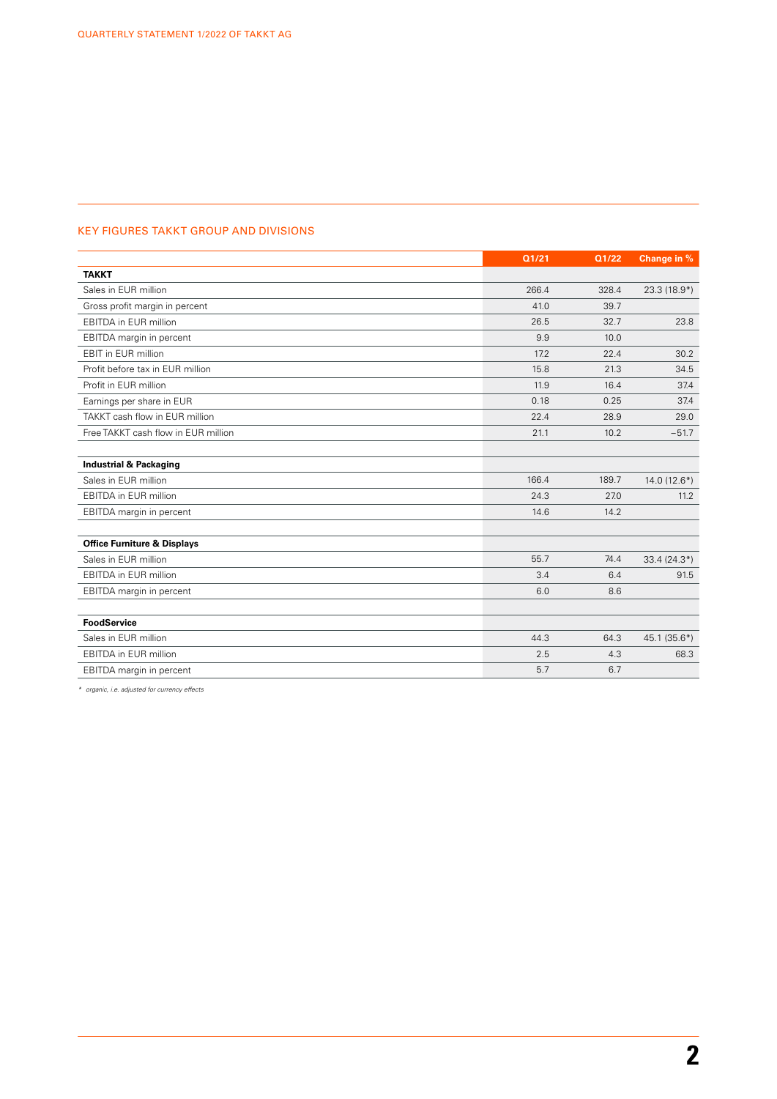## KEY FIGURES TAKKT GROUP AND DIVISIONS

|                                        | Q1/21 | Q1/22 | Change in %   |
|----------------------------------------|-------|-------|---------------|
| <b>TAKKT</b>                           |       |       |               |
| Sales in EUR million                   | 266.4 | 328.4 | $23.3(18.9*)$ |
| Gross profit margin in percent         | 41.0  | 39.7  |               |
| EBITDA in EUR million                  | 26.5  | 32.7  | 23.8          |
| EBITDA margin in percent               | 9.9   | 10.0  |               |
| EBIT in EUR million                    | 17.2  | 22.4  | 30.2          |
| Profit before tax in EUR million       | 15.8  | 21.3  | 34.5          |
| Profit in EUR million                  | 11.9  | 16.4  | 37.4          |
| Earnings per share in EUR              | 0.18  | 0.25  | 37.4          |
| TAKKT cash flow in EUR million         | 22.4  | 28.9  | 29.0          |
| Free TAKKT cash flow in EUR million    | 21.1  | 10.2  | $-51.7$       |
|                                        |       |       |               |
| <b>Industrial &amp; Packaging</b>      |       |       |               |
| Sales in EUR million                   | 166.4 | 189.7 | $14.0(12.6*)$ |
| <b>EBITDA</b> in EUR million           | 24.3  | 27.0  | 11.2          |
| EBITDA margin in percent               | 14.6  | 14.2  |               |
|                                        |       |       |               |
| <b>Office Furniture &amp; Displays</b> |       |       |               |
| Sales in EUR million                   | 55.7  | 74.4  | $33.4(24.3*)$ |
| <b>EBITDA</b> in EUR million           | 3.4   | 6.4   | 91.5          |
| EBITDA margin in percent               | 6.0   | 8.6   |               |
|                                        |       |       |               |
| <b>FoodService</b>                     |       |       |               |
| Sales in EUR million                   | 44.3  | 64.3  | $45.1(35.6*)$ |
| <b>EBITDA</b> in EUR million           | 2.5   | 4.3   | 68.3          |
| EBITDA margin in percent               | 5.7   | 6.7   |               |

*\* organic, i.e. adjusted for currency effects*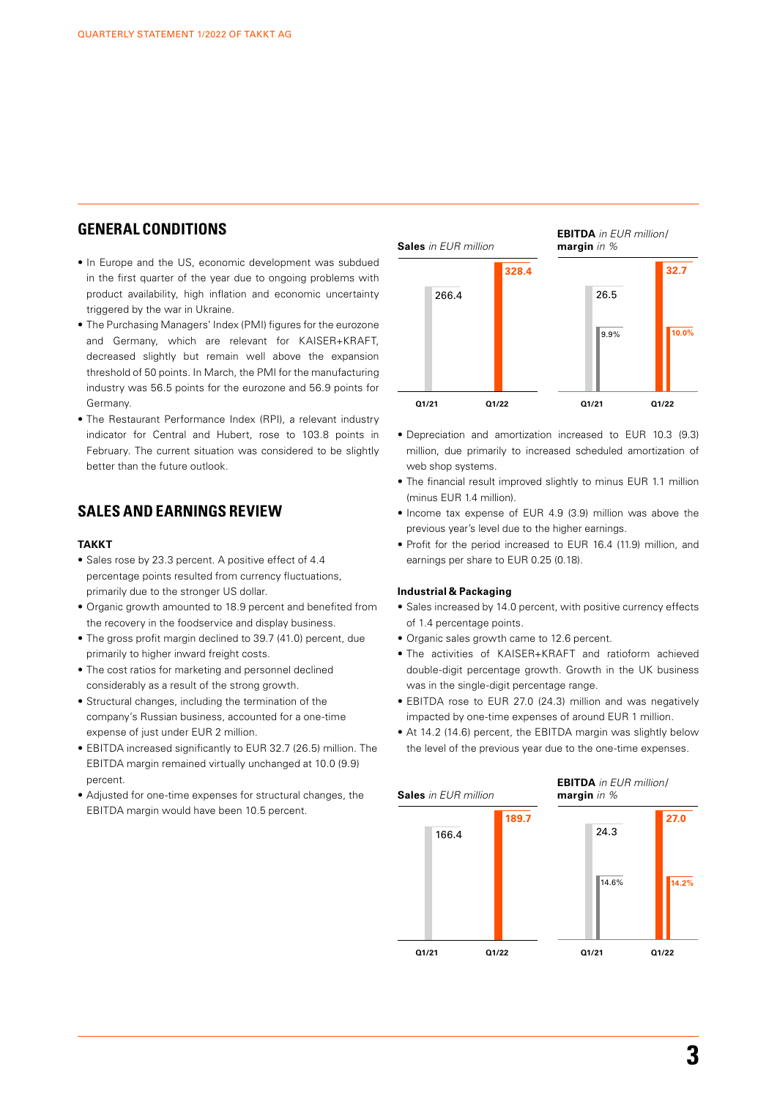## **GENERAL CONDITIONS**

- In Europe and the US, economic development was subdued in the first quarter of the year due to ongoing problems with product availability, high inflation and economic uncertainty triggered by the war in Ukraine.
- The Purchasing Managers' Index (PMI) figures for the eurozone and Germany, which are relevant for KAISER+KRAFT, decreased slightly but remain well above the expansion threshold of 50 points. In March, the PMI for the manufacturing industry was 56.5 points for the eurozone and 56.9 points for Germany.
- The Restaurant Performance Index (RPI), a relevant industry indicator for Central and Hubert, rose to 103.8 points in February. The current situation was considered to be slightly better than the future outlook.

## **SALES AND EARNINGS REVIEW**

#### **TAKKT**

- Sales rose by 23.3 percent. A positive effect of 4.4 percentage points resulted from currency fluctuations, primarily due to the stronger US dollar.
- Organic growth amounted to 18.9 percent and benefited from the recovery in the foodservice and display business.
- The gross profit margin declined to 39.7 (41.0) percent, due primarily to higher inward freight costs.
- The cost ratios for marketing and personnel declined considerably as a result of the strong growth.
- Structural changes, including the termination of the company's Russian business, accounted for a one-time expense of just under EUR 2 million.
- EBITDA increased significantly to EUR 32.7 (26.5) million. The EBITDA margin remained virtually unchanged at 10.0 (9.9) percent.
- Adjusted for one-time expenses for structural changes, the EBITDA margin would have been 10.5 percent.



- Depreciation and amortization increased to EUR 10.3 (9.3) million, due primarily to increased scheduled amortization of web shop systems.
- The financial result improved slightly to minus EUR 1.1 million (minus EUR 1.4 million).
- Income tax expense of EUR 4.9 (3.9) million was above the previous year's level due to the higher earnings.
- Profit for the period increased to EUR 16.4 (11.9) million, and earnings per share to EUR 0.25 (0.18).

#### **Industrial & Packaging**

- Sales increased by 14.0 percent, with positive currency effects of 1.4 percentage points.
- Organic sales growth came to 12.6 percent.
- The activities of KAISER+KRAFT and ratioform achieved double-digit percentage growth. Growth in the UK business was in the single-digit percentage range.
- EBITDA rose to EUR 27.0 (24.3) million and was negatively impacted by one-time expenses of around EUR 1 million.
- At 14.2 (14.6) percent, the EBITDA margin was slightly below the level of the previous year due to the one-time expenses.

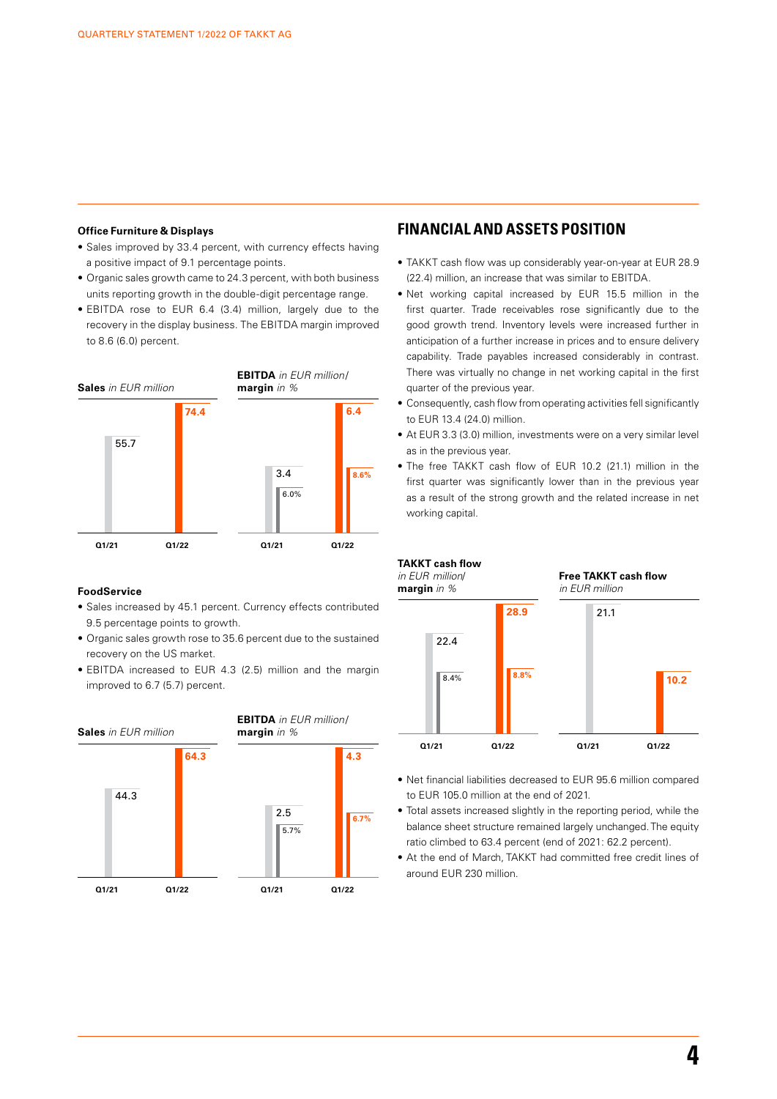#### **Office Furniture & Displays**

- Sales improved by 33.4 percent, with currency effects having a positive impact of 9.1 percentage points.
- Organic sales growth came to 24.3 percent, with both business units reporting growth in the double-digit percentage range.
- EBITDA rose to EUR 6.4 (3.4) million, largely due to the recovery in the display business. The EBITDA margin improved to 8.6 (6.0) percent.



## **FoodService**

- Sales increased by 45.1 percent. Currency effects contributed 9.5 percentage points to growth.
- Organic sales growth rose to 35.6 percent due to the sustained recovery on the US market.
- EBITDA increased to EUR 4.3 (2.5) million and the margin improved to 6.7 (5.7) percent.



## **FINANCIAL AND ASSETS POSITION**

- TAKKT cash flow was up considerably year-on-year at EUR 28.9 (22.4) million, an increase that was similar to EBITDA.
- Net working capital increased by EUR 15.5 million in the first quarter. Trade receivables rose significantly due to the good growth trend. Inventory levels were increased further in anticipation of a further increase in prices and to ensure delivery capability. Trade payables increased considerably in contrast. There was virtually no change in net working capital in the first quarter of the previous year.
- Consequently, cash flow from operating activities fell significantly to EUR 13.4 (24.0) million.
- At EUR 3.3 (3.0) million, investments were on a very similar level as in the previous year.
- The free TAKKT cash flow of EUR 10.2 (21.1) million in the first quarter was significantly lower than in the previous year as a result of the strong growth and the related increase in net working capital.



- Net financial liabilities decreased to EUR 95.6 million compared to EUR 105.0 million at the end of 2021.
- Total assets increased slightly in the reporting period, while the balance sheet structure remained largely unchanged. The equity ratio climbed to 63.4 percent (end of 2021: 62.2 percent).
- At the end of March, TAKKT had committed free credit lines of around EUR 230 million.

**4**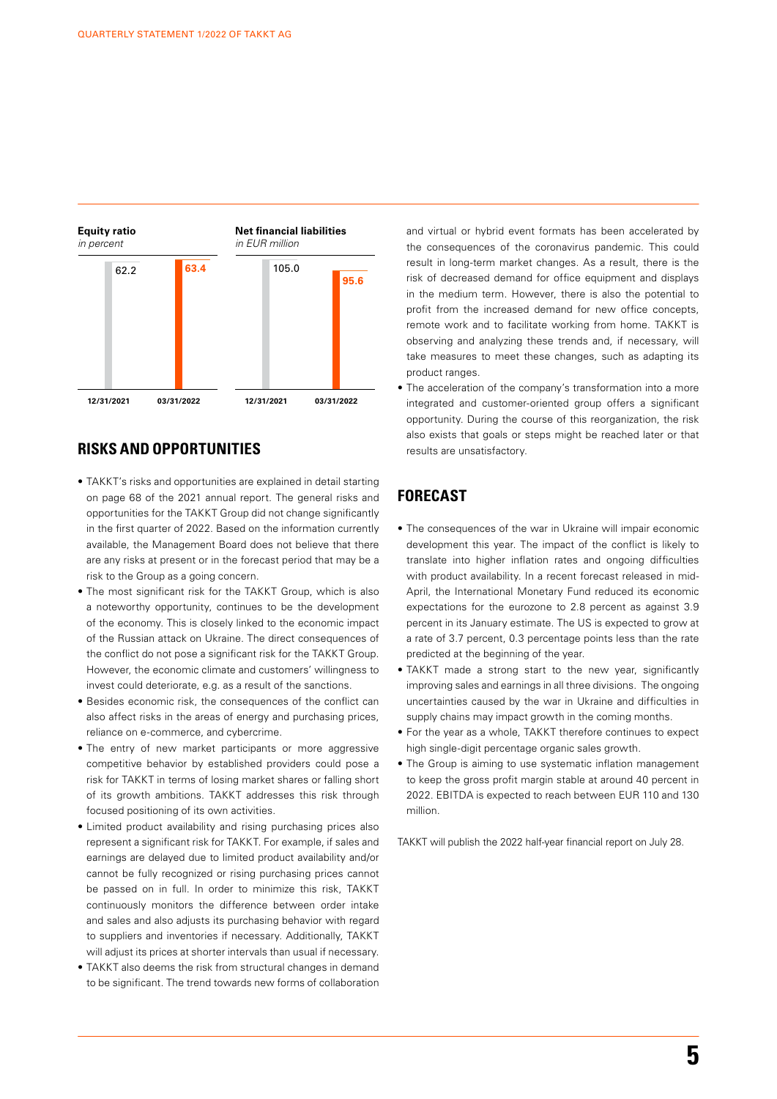

## **RISKS AND OPPORTUNITIES**

- TAKKT's risks and opportunities are explained in detail starting on page 68 of the 2021 annual report. The general risks and opportunities for the TAKKT Group did not change significantly in the first quarter of 2022. Based on the information currently available, the Management Board does not believe that there are any risks at present or in the forecast period that may be a risk to the Group as a going concern.
- The most significant risk for the TAKKT Group, which is also a noteworthy opportunity, continues to be the development of the economy. This is closely linked to the economic impact of the Russian attack on Ukraine. The direct consequences of the conflict do not pose a significant risk for the TAKKT Group. However, the economic climate and customers' willingness to invest could deteriorate, e.g. as a result of the sanctions.
- Besides economic risk, the consequences of the conflict can also affect risks in the areas of energy and purchasing prices, reliance on e-commerce, and cybercrime.
- The entry of new market participants or more aggressive competitive behavior by established providers could pose a risk for TAKKT in terms of losing market shares or falling short of its growth ambitions. TAKKT addresses this risk through focused positioning of its own activities.
- Limited product availability and rising purchasing prices also represent a significant risk for TAKKT. For example, if sales and earnings are delayed due to limited product availability and/or cannot be fully recognized or rising purchasing prices cannot be passed on in full. In order to minimize this risk, TAKKT continuously monitors the difference between order intake and sales and also adjusts its purchasing behavior with regard to suppliers and inventories if necessary. Additionally, TAKKT will adjust its prices at shorter intervals than usual if necessary.
- TAKKT also deems the risk from structural changes in demand to be significant. The trend towards new forms of collaboration

and virtual or hybrid event formats has been accelerated by the consequences of the coronavirus pandemic. This could result in long-term market changes. As a result, there is the risk of decreased demand for office equipment and displays in the medium term. However, there is also the potential to profit from the increased demand for new office concepts, remote work and to facilitate working from home. TAKKT is observing and analyzing these trends and, if necessary, will take measures to meet these changes, such as adapting its product ranges.

The acceleration of the company's transformation into a more integrated and customer-oriented group offers a significant opportunity. During the course of this reorganization, the risk also exists that goals or steps might be reached later or that results are unsatisfactory.

## **FORECAST**

- The consequences of the war in Ukraine will impair economic development this year. The impact of the conflict is likely to translate into higher inflation rates and ongoing difficulties with product availability. In a recent forecast released in mid-April, the International Monetary Fund reduced its economic expectations for the eurozone to 2.8 percent as against 3.9 percent in its January estimate. The US is expected to grow at a rate of 3.7 percent, 0.3 percentage points less than the rate predicted at the beginning of the year.
- TAKKT made a strong start to the new year, significantly improving sales and earnings in all three divisions. The ongoing uncertainties caused by the war in Ukraine and difficulties in supply chains may impact growth in the coming months.
- For the year as a whole, TAKKT therefore continues to expect high single-digit percentage organic sales growth.
- The Group is aiming to use systematic inflation management to keep the gross profit margin stable at around 40 percent in 2022. EBITDA is expected to reach between EUR 110 and 130 million.

TAKKT will publish the 2022 half-year financial report on July 28.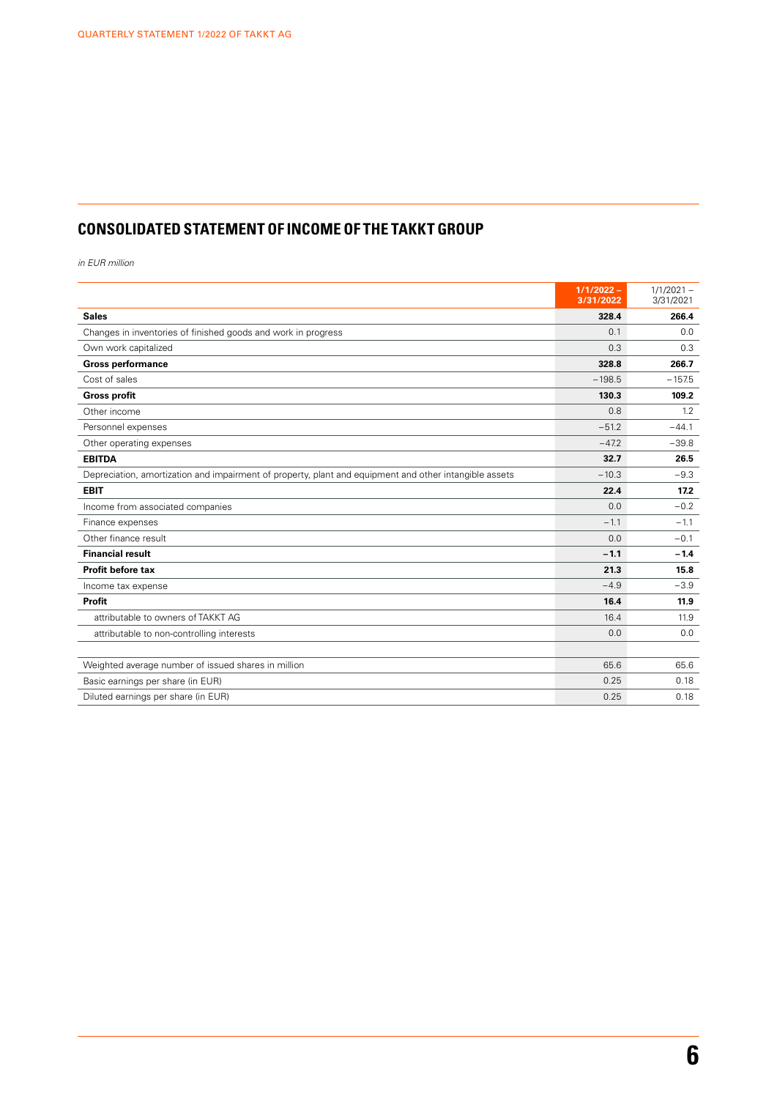# **CONSOLIDATED STATEMENT OF INCOME OF THE TAKKT GROUP**

*in EUR million*

|                                                                                                        | $1/1/2022 -$<br>3/31/2022 | $1/1/2021 -$<br>3/31/2021 |
|--------------------------------------------------------------------------------------------------------|---------------------------|---------------------------|
| <b>Sales</b>                                                                                           | 328.4                     | 266.4                     |
| Changes in inventories of finished goods and work in progress                                          | 0.1                       | 0.0                       |
| Own work capitalized                                                                                   | 0.3                       | 0.3                       |
| <b>Gross performance</b>                                                                               | 328.8                     | 266.7                     |
| Cost of sales                                                                                          | $-198.5$                  | $-1575$                   |
| <b>Gross profit</b>                                                                                    | 130.3                     | 109.2                     |
| Other income                                                                                           | 0.8                       | 1.2                       |
| Personnel expenses                                                                                     | $-51.2$                   | $-44.1$                   |
| Other operating expenses                                                                               | $-47.2$                   | $-39.8$                   |
| <b>EBITDA</b>                                                                                          | 32.7                      | 26.5                      |
| Depreciation, amortization and impairment of property, plant and equipment and other intangible assets | $-10.3$                   | $-9.3$                    |
| <b>EBIT</b>                                                                                            | 22.4                      | 17.2                      |
| Income from associated companies                                                                       | 0.0                       | $-0.2$                    |
| Finance expenses                                                                                       | $-1.1$                    | $-1.1$                    |
| Other finance result                                                                                   | 0.0                       | $-0.1$                    |
| <b>Financial result</b>                                                                                | $-1.1$                    | $-1.4$                    |
| Profit before tax                                                                                      | 21.3                      | 15.8                      |
| Income tax expense                                                                                     | $-4.9$                    | $-3.9$                    |
| Profit                                                                                                 | 16.4                      | 11.9                      |
| attributable to owners of TAKKT AG                                                                     | 16.4                      | 11.9                      |
| attributable to non-controlling interests                                                              | 0.0                       | 0.0                       |
|                                                                                                        |                           |                           |
| Weighted average number of issued shares in million                                                    | 65.6                      | 65.6                      |
| Basic earnings per share (in EUR)                                                                      | 0.25                      | 0.18                      |
| Diluted earnings per share (in EUR)                                                                    | 0.25                      | 0.18                      |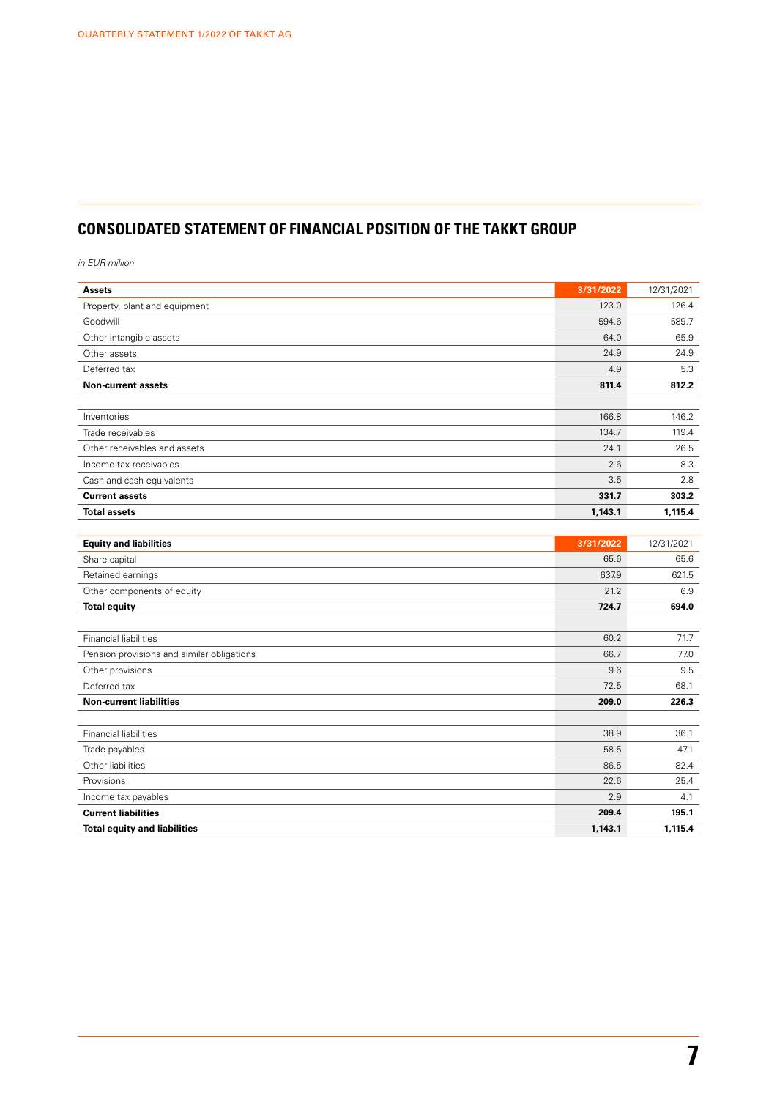# **CONSOLIDATED STATEMENT OF FINANCIAL POSITION OF THE TAKKT GROUP**

*in EUR million*

| <b>Assets</b>                              | 3/31/2022 | 12/31/2021 |
|--------------------------------------------|-----------|------------|
| Property, plant and equipment              | 123.0     | 126.4      |
| Goodwill                                   | 594.6     | 589.7      |
| Other intangible assets                    | 64.0      | 65.9       |
| Other assets                               | 24.9      | 24.9       |
| Deferred tax                               | 4.9       | 5.3        |
| <b>Non-current assets</b>                  | 811.4     | 812.2      |
|                                            |           |            |
| Inventories                                | 166.8     | 146.2      |
| Trade receivables                          | 134.7     | 119.4      |
| Other receivables and assets               | 24.1      | 26.5       |
| Income tax receivables                     | 2.6       | 8.3        |
| Cash and cash equivalents                  | 3.5       | 2.8        |
| <b>Current assets</b>                      | 331.7     | 303.2      |
| <b>Total assets</b>                        | 1,143.1   | 1,115.4    |
|                                            |           |            |
| <b>Equity and liabilities</b>              | 3/31/2022 | 12/31/2021 |
| Share capital                              | 65.6      | 65.6       |
| Retained earnings                          | 637.9     | 621.5      |
| Other components of equity                 | 21.2      | 6.9        |
| <b>Total equity</b>                        | 724.7     | 694.0      |
|                                            |           |            |
| <b>Financial liabilities</b>               | 60.2      | 71.7       |
| Pension provisions and similar obligations | 66.7      | 77.0       |
| Other provisions                           | 9.6       | 9.5        |
| Deferred tax                               | 72.5      | 68.1       |
| <b>Non-current liabilities</b>             | 209.0     | 226.3      |
|                                            |           |            |
| Financial liabilities                      | 38.9      | 36.1       |
| Trade payables                             | 58.5      | 47.1       |
| Other liabilities                          | 86.5      | 82.4       |
| Provisions                                 | 22.6      | 25.4       |
| Income tax payables                        | 2.9       | 4.1        |
| <b>Current liabilities</b>                 | 209.4     | 195.1      |
| <b>Total equity and liabilities</b>        | 1,143.1   | 1,115.4    |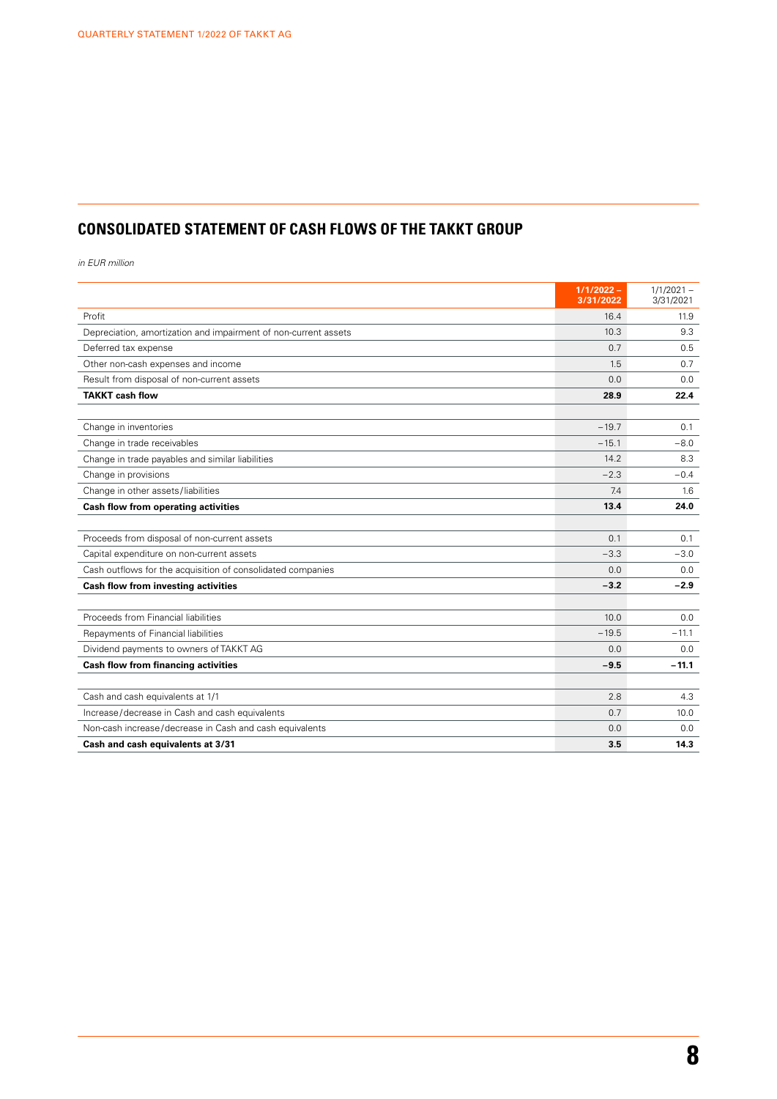# **CONSOLIDATED STATEMENT OF CASH FLOWS OF THE TAKKT GROUP**

*in EUR million*

|                                                                 | $1/1/2022 -$<br>3/31/2022 | $1/1/2021 -$<br>3/31/2021 |
|-----------------------------------------------------------------|---------------------------|---------------------------|
| Profit                                                          | 16.4                      | 11.9                      |
| Depreciation, amortization and impairment of non-current assets | 10.3                      | 9.3                       |
| Deferred tax expense                                            | 0.7                       | 0.5                       |
| Other non-cash expenses and income                              | 1.5                       | 0.7                       |
| Result from disposal of non-current assets                      | 0.0                       | 0.0                       |
| <b>TAKKT cash flow</b>                                          | 28.9                      | 22.4                      |
|                                                                 |                           |                           |
| Change in inventories                                           | $-19.7$                   | 0.1                       |
| Change in trade receivables                                     | $-15.1$                   | $-8.0$                    |
| Change in trade payables and similar liabilities                | 14.2                      | 8.3                       |
| Change in provisions                                            | $-2.3$                    | $-0.4$                    |
| Change in other assets/liabilities                              | 7.4                       | 1.6                       |
| Cash flow from operating activities                             | 13.4                      | 24.0                      |
|                                                                 |                           |                           |
| Proceeds from disposal of non-current assets                    | 0.1                       | 0.1                       |
| Capital expenditure on non-current assets                       | $-3.3$                    | $-3.0$                    |
| Cash outflows for the acquisition of consolidated companies     | 0.0                       | 0.0                       |
| Cash flow from investing activities                             | $-3.2$                    | $-2.9$                    |
|                                                                 |                           |                           |
| Proceeds from Financial liabilities                             | 10.0                      | 0.0                       |
| Repayments of Financial liabilities                             | $-19.5$                   | $-11.1$                   |
| Dividend payments to owners of TAKKT AG                         | 0.0                       | 0.0                       |
| <b>Cash flow from financing activities</b>                      | $-9.5$                    | $-11.1$                   |
|                                                                 |                           |                           |
| Cash and cash equivalents at 1/1                                | 2.8                       | 4.3                       |
| Increase/decrease in Cash and cash equivalents                  | 0.7                       | 10.0                      |
| Non-cash increase/decrease in Cash and cash equivalents         | 0.0                       | 0.0                       |
| Cash and cash equivalents at 3/31                               | 3.5                       | 14.3                      |